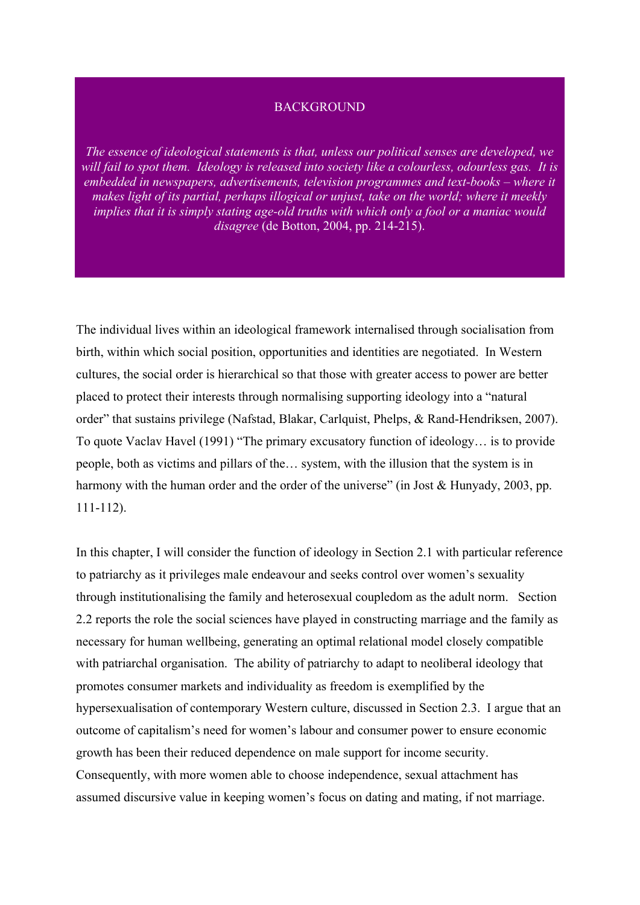#### **BACKGROUND**

*The essence of ideological statements is that, unless our political senses are developed, we will fail to spot them. Ideology is released into society like a colourless, odourless gas. It is embedded in newspapers, advertisements, television programmes and text-books – where it makes light of its partial, perhaps illogical or unjust, take on the world; where it meekly implies that it is simply stating age-old truths with which only a fool or a maniac would disagree* (de Botton, 2004, pp. 214-215).

The individual lives within an ideological framework internalised through socialisation from birth, within which social position, opportunities and identities are negotiated. In Western cultures, the social order is hierarchical so that those with greater access to power are better placed to protect their interests through normalising supporting ideology into a "natural order" that sustains privilege (Nafstad, Blakar, Carlquist, Phelps, & Rand-Hendriksen, 2007). To quote Vaclav Havel (1991) "The primary excusatory function of ideology… is to provide people, both as victims and pillars of the… system, with the illusion that the system is in harmony with the human order and the order of the universe" (in Jost & Hunyady, 2003, pp. 111-112).

In this chapter, I will consider the function of ideology in Section 2.1 with particular reference to patriarchy as it privileges male endeavour and seeks control over women's sexuality through institutionalising the family and heterosexual coupledom as the adult norm. Section 2.2 reports the role the social sciences have played in constructing marriage and the family as necessary for human wellbeing, generating an optimal relational model closely compatible with patriarchal organisation. The ability of patriarchy to adapt to neoliberal ideology that promotes consumer markets and individuality as freedom is exemplified by the hypersexualisation of contemporary Western culture, discussed in Section 2.3. I argue that an outcome of capitalism's need for women's labour and consumer power to ensure economic growth has been their reduced dependence on male support for income security. Consequently, with more women able to choose independence, sexual attachment has assumed discursive value in keeping women's focus on dating and mating, if not marriage.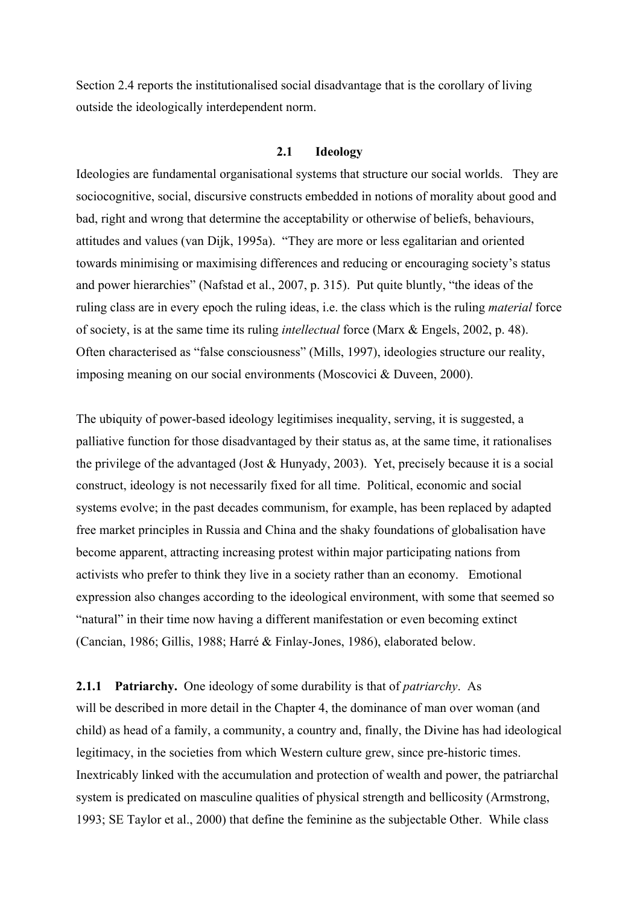Section 2.4 reports the institutionalised social disadvantage that is the corollary of living outside the ideologically interdependent norm.

# **2.1 Ideology**

Ideologies are fundamental organisational systems that structure our social worlds. They are sociocognitive, social, discursive constructs embedded in notions of morality about good and bad, right and wrong that determine the acceptability or otherwise of beliefs, behaviours, attitudes and values (van Dijk, 1995a). "They are more or less egalitarian and oriented towards minimising or maximising differences and reducing or encouraging society's status and power hierarchies" (Nafstad et al., 2007, p. 315). Put quite bluntly, "the ideas of the ruling class are in every epoch the ruling ideas, i.e. the class which is the ruling *material* force of society, is at the same time its ruling *intellectual* force (Marx & Engels, 2002, p. 48). Often characterised as "false consciousness" (Mills, 1997), ideologies structure our reality, imposing meaning on our social environments (Moscovici & Duveen, 2000).

The ubiquity of power-based ideology legitimises inequality, serving, it is suggested, a palliative function for those disadvantaged by their status as, at the same time, it rationalises the privilege of the advantaged (Jost & Hunyady, 2003). Yet, precisely because it is a social construct, ideology is not necessarily fixed for all time. Political, economic and social systems evolve; in the past decades communism, for example, has been replaced by adapted free market principles in Russia and China and the shaky foundations of globalisation have become apparent, attracting increasing protest within major participating nations from activists who prefer to think they live in a society rather than an economy. Emotional expression also changes according to the ideological environment, with some that seemed so "natural" in their time now having a different manifestation or even becoming extinct (Cancian, 1986; Gillis, 1988; Harré & Finlay-Jones, 1986), elaborated below.

# **2.1.1 Patriarchy.** One ideology of some durability is that of *patriarchy*. As

will be described in more detail in the Chapter 4, the dominance of man over woman (and child) as head of a family, a community, a country and, finally, the Divine has had ideological legitimacy, in the societies from which Western culture grew, since pre-historic times. Inextricably linked with the accumulation and protection of wealth and power, the patriarchal system is predicated on masculine qualities of physical strength and bellicosity (Armstrong, 1993; SE Taylor et al., 2000) that define the feminine as the subjectable Other. While class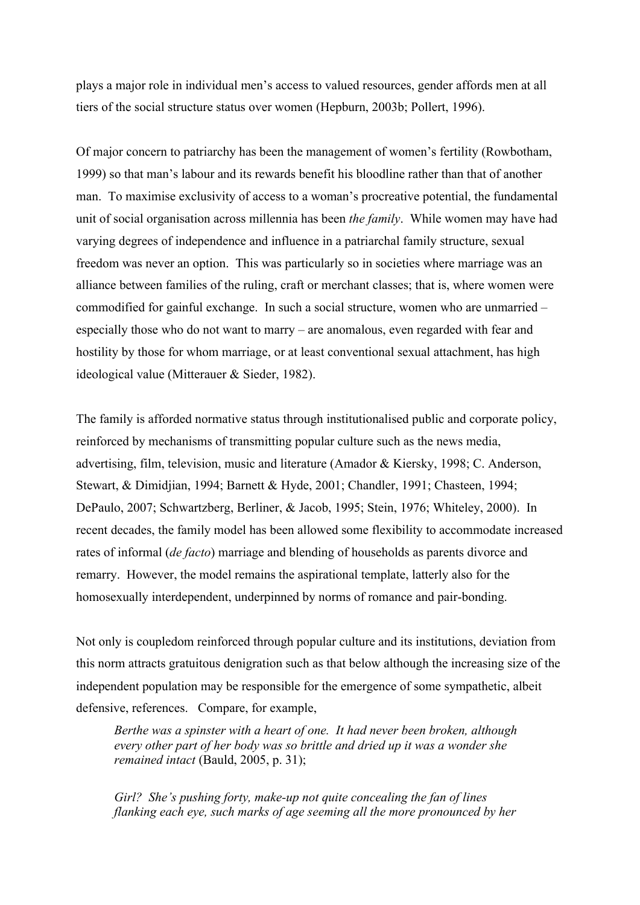plays a major role in individual men's access to valued resources, gender affords men at all tiers of the social structure status over women (Hepburn, 2003b; Pollert, 1996).

Of major concern to patriarchy has been the management of women's fertility (Rowbotham, 1999) so that man's labour and its rewards benefit his bloodline rather than that of another man. To maximise exclusivity of access to a woman's procreative potential, the fundamental unit of social organisation across millennia has been *the family*. While women may have had varying degrees of independence and influence in a patriarchal family structure, sexual freedom was never an option. This was particularly so in societies where marriage was an alliance between families of the ruling, craft or merchant classes; that is, where women were commodified for gainful exchange. In such a social structure, women who are unmarried – especially those who do not want to marry – are anomalous, even regarded with fear and hostility by those for whom marriage, or at least conventional sexual attachment, has high ideological value (Mitterauer & Sieder, 1982).

The family is afforded normative status through institutionalised public and corporate policy, reinforced by mechanisms of transmitting popular culture such as the news media, advertising, film, television, music and literature (Amador & Kiersky, 1998; C. Anderson, Stewart, & Dimidjian, 1994; Barnett & Hyde, 2001; Chandler, 1991; Chasteen, 1994; DePaulo, 2007; Schwartzberg, Berliner, & Jacob, 1995; Stein, 1976; Whiteley, 2000). In recent decades, the family model has been allowed some flexibility to accommodate increased rates of informal (*de facto*) marriage and blending of households as parents divorce and remarry. However, the model remains the aspirational template, latterly also for the homosexually interdependent, underpinned by norms of romance and pair-bonding.

Not only is coupledom reinforced through popular culture and its institutions, deviation from this norm attracts gratuitous denigration such as that below although the increasing size of the independent population may be responsible for the emergence of some sympathetic, albeit defensive, references. Compare, for example,

*Berthe was a spinster with a heart of one. It had never been broken, although every other part of her body was so brittle and dried up it was a wonder she remained intact* (Bauld, 2005, p. 31);

*Girl? She's pushing forty, make-up not quite concealing the fan of lines flanking each eye, such marks of age seeming all the more pronounced by her*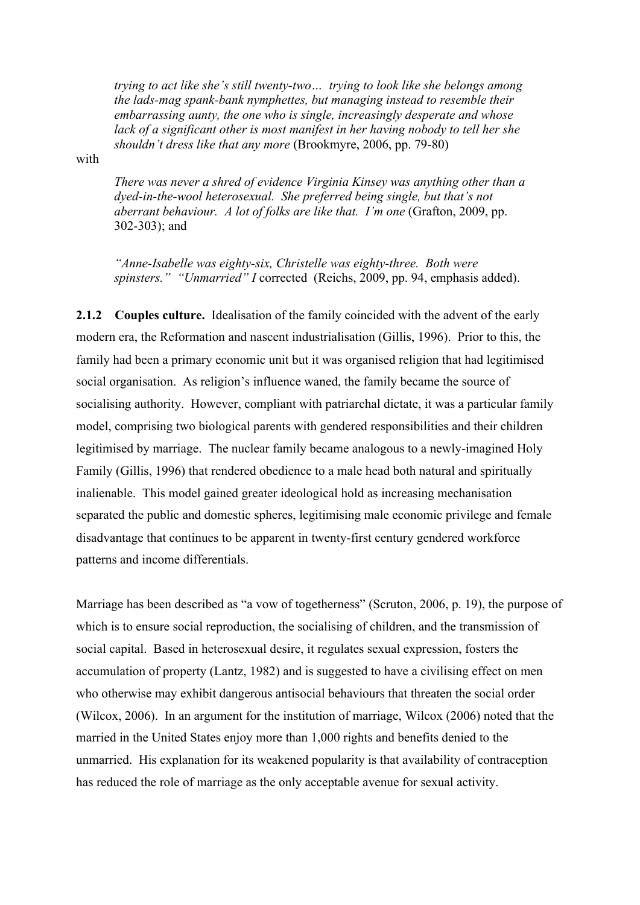*trying to act like she's still twenty-two… trying to look like she belongs among the lads-mag spank-bank nymphettes, but managing instead to resemble their embarrassing aunty, the one who is single, increasingly desperate and whose lack of a significant other is most manifest in her having nobody to tell her she shouldn't dress like that any more* (Brookmyre, 2006, pp. 79-80)

with

*There was never a shred of evidence Virginia Kinsey was anything other than a dyed-in-the-wool heterosexual. She preferred being single, but that's not aberrant behaviour. A lot of folks are like that. I'm one* (Grafton, 2009, pp. 302-303); and

*"Anne-Isabelle was eighty-six, Christelle was eighty-three. Both were spinsters." "Unmarried" I* corrected (Reichs, 2009, pp. 94, emphasis added).

**2.1.2 Couples culture.** Idealisation of the family coincided with the advent of the early modern era, the Reformation and nascent industrialisation (Gillis, 1996). Prior to this, the family had been a primary economic unit but it was organised religion that had legitimised social organisation. As religion's influence waned, the family became the source of socialising authority. However, compliant with patriarchal dictate, it was a particular family model, comprising two biological parents with gendered responsibilities and their children legitimised by marriage. The nuclear family became analogous to a newly-imagined Holy Family (Gillis, 1996) that rendered obedience to a male head both natural and spiritually inalienable. This model gained greater ideological hold as increasing mechanisation separated the public and domestic spheres, legitimising male economic privilege and female disadvantage that continues to be apparent in twenty-first century gendered workforce patterns and income differentials.

Marriage has been described as "a vow of togetherness" (Scruton, 2006, p. 19), the purpose of which is to ensure social reproduction, the socialising of children, and the transmission of social capital. Based in heterosexual desire, it regulates sexual expression, fosters the accumulation of property (Lantz, 1982) and is suggested to have a civilising effect on men who otherwise may exhibit dangerous antisocial behaviours that threaten the social order (Wilcox, 2006). In an argument for the institution of marriage, Wilcox (2006) noted that the married in the United States enjoy more than 1,000 rights and benefits denied to the unmarried. His explanation for its weakened popularity is that availability of contraception has reduced the role of marriage as the only acceptable avenue for sexual activity.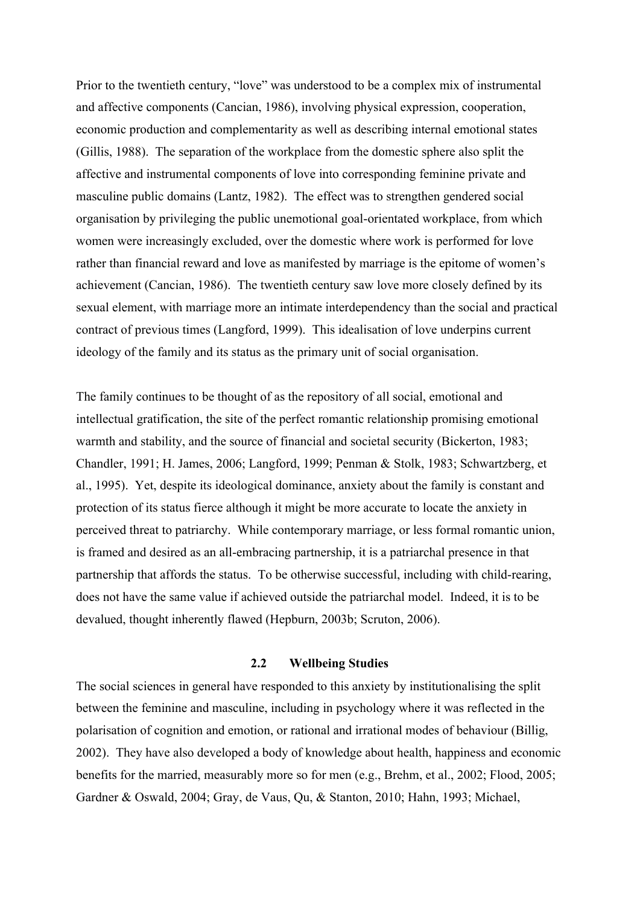Prior to the twentieth century, "love" was understood to be a complex mix of instrumental and affective components (Cancian, 1986), involving physical expression, cooperation, economic production and complementarity as well as describing internal emotional states (Gillis, 1988). The separation of the workplace from the domestic sphere also split the affective and instrumental components of love into corresponding feminine private and masculine public domains (Lantz, 1982). The effect was to strengthen gendered social organisation by privileging the public unemotional goal-orientated workplace, from which women were increasingly excluded, over the domestic where work is performed for love rather than financial reward and love as manifested by marriage is the epitome of women's achievement (Cancian, 1986). The twentieth century saw love more closely defined by its sexual element, with marriage more an intimate interdependency than the social and practical contract of previous times (Langford, 1999). This idealisation of love underpins current ideology of the family and its status as the primary unit of social organisation.

The family continues to be thought of as the repository of all social, emotional and intellectual gratification, the site of the perfect romantic relationship promising emotional warmth and stability, and the source of financial and societal security (Bickerton, 1983; Chandler, 1991; H. James, 2006; Langford, 1999; Penman & Stolk, 1983; Schwartzberg, et al., 1995). Yet, despite its ideological dominance, anxiety about the family is constant and protection of its status fierce although it might be more accurate to locate the anxiety in perceived threat to patriarchy. While contemporary marriage, or less formal romantic union, is framed and desired as an all-embracing partnership, it is a patriarchal presence in that partnership that affords the status. To be otherwise successful, including with child-rearing, does not have the same value if achieved outside the patriarchal model. Indeed, it is to be devalued, thought inherently flawed (Hepburn, 2003b; Scruton, 2006).

### **2.2 Wellbeing Studies**

The social sciences in general have responded to this anxiety by institutionalising the split between the feminine and masculine, including in psychology where it was reflected in the polarisation of cognition and emotion, or rational and irrational modes of behaviour (Billig, 2002). They have also developed a body of knowledge about health, happiness and economic benefits for the married, measurably more so for men (e.g., Brehm, et al., 2002; Flood, 2005; Gardner & Oswald, 2004; Gray, de Vaus, Qu, & Stanton, 2010; Hahn, 1993; Michael,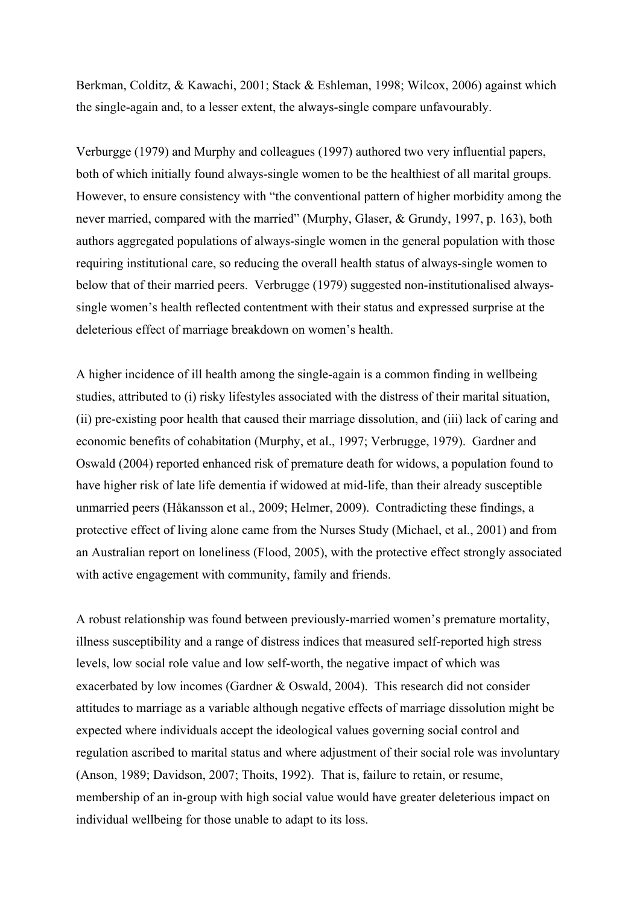Berkman, Colditz, & Kawachi, 2001; Stack & Eshleman, 1998; Wilcox, 2006) against which the single-again and, to a lesser extent, the always-single compare unfavourably.

Verburgge (1979) and Murphy and colleagues (1997) authored two very influential papers, both of which initially found always-single women to be the healthiest of all marital groups. However, to ensure consistency with "the conventional pattern of higher morbidity among the never married, compared with the married" (Murphy, Glaser, & Grundy, 1997, p. 163), both authors aggregated populations of always-single women in the general population with those requiring institutional care, so reducing the overall health status of always-single women to below that of their married peers. Verbrugge (1979) suggested non-institutionalised alwayssingle women's health reflected contentment with their status and expressed surprise at the deleterious effect of marriage breakdown on women's health.

A higher incidence of ill health among the single-again is a common finding in wellbeing studies, attributed to (i) risky lifestyles associated with the distress of their marital situation, (ii) pre-existing poor health that caused their marriage dissolution, and (iii) lack of caring and economic benefits of cohabitation (Murphy, et al., 1997; Verbrugge, 1979). Gardner and Oswald (2004) reported enhanced risk of premature death for widows, a population found to have higher risk of late life dementia if widowed at mid-life, than their already susceptible unmarried peers (Håkansson et al., 2009; Helmer, 2009). Contradicting these findings, a protective effect of living alone came from the Nurses Study (Michael, et al., 2001) and from an Australian report on loneliness (Flood, 2005), with the protective effect strongly associated with active engagement with community, family and friends.

A robust relationship was found between previously-married women's premature mortality, illness susceptibility and a range of distress indices that measured self-reported high stress levels, low social role value and low self-worth, the negative impact of which was exacerbated by low incomes (Gardner & Oswald, 2004). This research did not consider attitudes to marriage as a variable although negative effects of marriage dissolution might be expected where individuals accept the ideological values governing social control and regulation ascribed to marital status and where adjustment of their social role was involuntary (Anson, 1989; Davidson, 2007; Thoits, 1992). That is, failure to retain, or resume, membership of an in-group with high social value would have greater deleterious impact on individual wellbeing for those unable to adapt to its loss.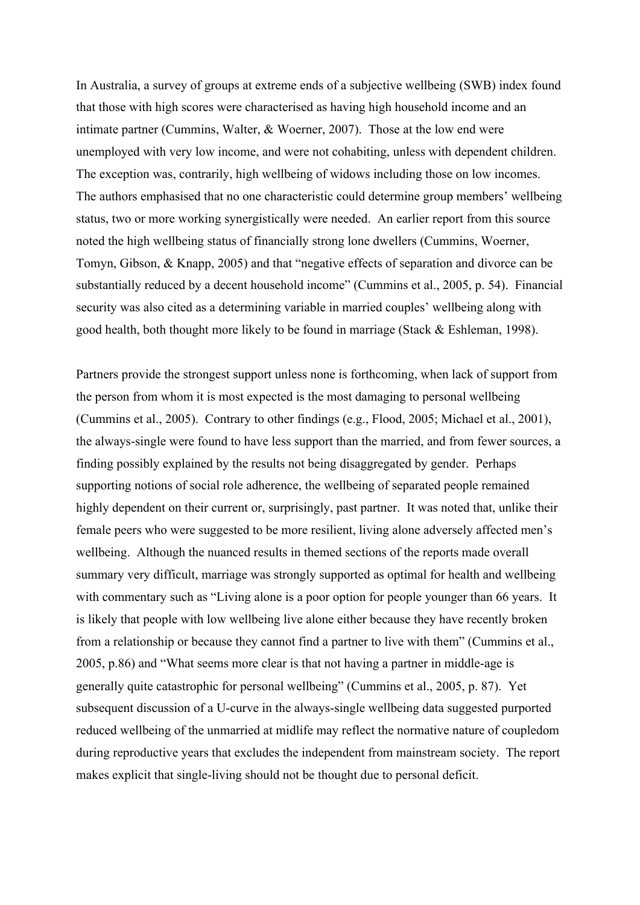In Australia, a survey of groups at extreme ends of a subjective wellbeing (SWB) index found that those with high scores were characterised as having high household income and an intimate partner (Cummins, Walter, & Woerner, 2007). Those at the low end were unemployed with very low income, and were not cohabiting, unless with dependent children. The exception was, contrarily, high wellbeing of widows including those on low incomes. The authors emphasised that no one characteristic could determine group members' wellbeing status, two or more working synergistically were needed. An earlier report from this source noted the high wellbeing status of financially strong lone dwellers (Cummins, Woerner, Tomyn, Gibson, & Knapp, 2005) and that "negative effects of separation and divorce can be substantially reduced by a decent household income" (Cummins et al., 2005, p. 54). Financial security was also cited as a determining variable in married couples' wellbeing along with good health, both thought more likely to be found in marriage (Stack & Eshleman, 1998).

Partners provide the strongest support unless none is forthcoming, when lack of support from the person from whom it is most expected is the most damaging to personal wellbeing (Cummins et al., 2005). Contrary to other findings (e.g., Flood, 2005; Michael et al., 2001), the always-single were found to have less support than the married, and from fewer sources, a finding possibly explained by the results not being disaggregated by gender. Perhaps supporting notions of social role adherence, the wellbeing of separated people remained highly dependent on their current or, surprisingly, past partner. It was noted that, unlike their female peers who were suggested to be more resilient, living alone adversely affected men's wellbeing. Although the nuanced results in themed sections of the reports made overall summary very difficult, marriage was strongly supported as optimal for health and wellbeing with commentary such as "Living alone is a poor option for people younger than 66 years. It is likely that people with low wellbeing live alone either because they have recently broken from a relationship or because they cannot find a partner to live with them" (Cummins et al., 2005, p.86) and "What seems more clear is that not having a partner in middle-age is generally quite catastrophic for personal wellbeing" (Cummins et al., 2005, p. 87). Yet subsequent discussion of a U-curve in the always-single wellbeing data suggested purported reduced wellbeing of the unmarried at midlife may reflect the normative nature of coupledom during reproductive years that excludes the independent from mainstream society. The report makes explicit that single-living should not be thought due to personal deficit.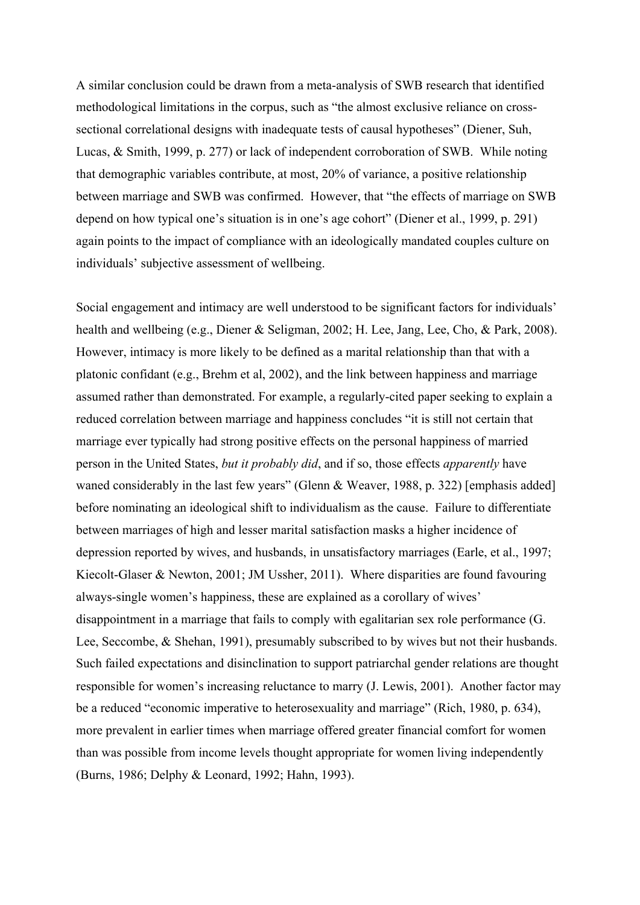A similar conclusion could be drawn from a meta-analysis of SWB research that identified methodological limitations in the corpus, such as "the almost exclusive reliance on crosssectional correlational designs with inadequate tests of causal hypotheses" (Diener, Suh, Lucas, & Smith, 1999, p. 277) or lack of independent corroboration of SWB. While noting that demographic variables contribute, at most, 20% of variance, a positive relationship between marriage and SWB was confirmed. However, that "the effects of marriage on SWB depend on how typical one's situation is in one's age cohort" (Diener et al., 1999, p. 291) again points to the impact of compliance with an ideologically mandated couples culture on individuals' subjective assessment of wellbeing.

Social engagement and intimacy are well understood to be significant factors for individuals' health and wellbeing (e.g., Diener & Seligman, 2002; H. Lee, Jang, Lee, Cho, & Park, 2008). However, intimacy is more likely to be defined as a marital relationship than that with a platonic confidant (e.g., Brehm et al, 2002), and the link between happiness and marriage assumed rather than demonstrated. For example, a regularly-cited paper seeking to explain a reduced correlation between marriage and happiness concludes "it is still not certain that marriage ever typically had strong positive effects on the personal happiness of married person in the United States, *but it probably did*, and if so, those effects *apparently* have waned considerably in the last few years" (Glenn & Weaver, 1988, p. 322) [emphasis added] before nominating an ideological shift to individualism as the cause. Failure to differentiate between marriages of high and lesser marital satisfaction masks a higher incidence of depression reported by wives, and husbands, in unsatisfactory marriages (Earle, et al., 1997; Kiecolt-Glaser & Newton, 2001; JM Ussher, 2011). Where disparities are found favouring always-single women's happiness, these are explained as a corollary of wives' disappointment in a marriage that fails to comply with egalitarian sex role performance (G. Lee, Seccombe, & Shehan, 1991), presumably subscribed to by wives but not their husbands. Such failed expectations and disinclination to support patriarchal gender relations are thought responsible for women's increasing reluctance to marry (J. Lewis, 2001). Another factor may be a reduced "economic imperative to heterosexuality and marriage" (Rich, 1980, p. 634), more prevalent in earlier times when marriage offered greater financial comfort for women than was possible from income levels thought appropriate for women living independently (Burns, 1986; Delphy & Leonard, 1992; Hahn, 1993).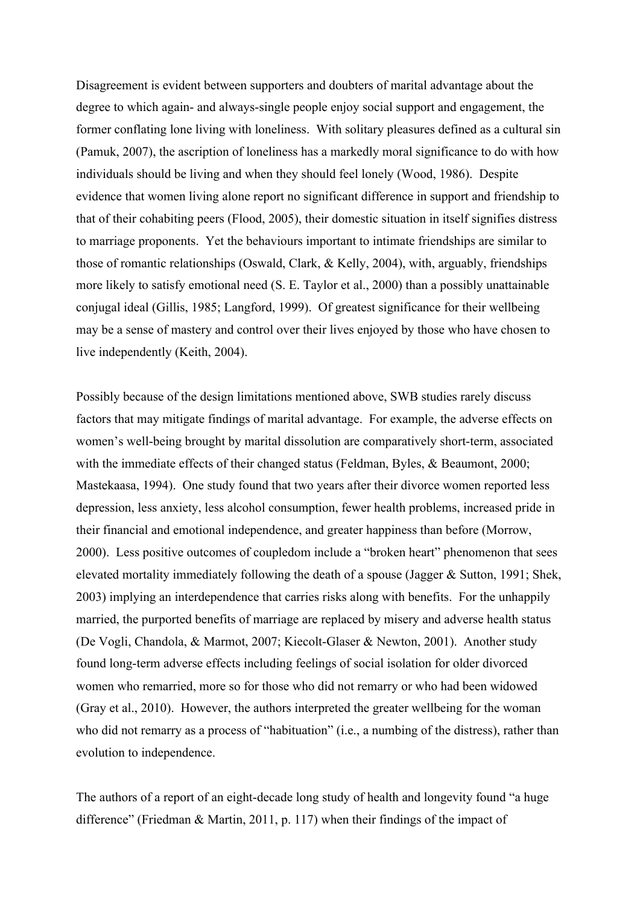Disagreement is evident between supporters and doubters of marital advantage about the degree to which again- and always-single people enjoy social support and engagement, the former conflating lone living with loneliness. With solitary pleasures defined as a cultural sin (Pamuk, 2007), the ascription of loneliness has a markedly moral significance to do with how individuals should be living and when they should feel lonely (Wood, 1986). Despite evidence that women living alone report no significant difference in support and friendship to that of their cohabiting peers (Flood, 2005), their domestic situation in itself signifies distress to marriage proponents. Yet the behaviours important to intimate friendships are similar to those of romantic relationships (Oswald, Clark, & Kelly, 2004), with, arguably, friendships more likely to satisfy emotional need (S. E. Taylor et al., 2000) than a possibly unattainable conjugal ideal (Gillis, 1985; Langford, 1999). Of greatest significance for their wellbeing may be a sense of mastery and control over their lives enjoyed by those who have chosen to live independently (Keith, 2004).

Possibly because of the design limitations mentioned above, SWB studies rarely discuss factors that may mitigate findings of marital advantage. For example, the adverse effects on women's well-being brought by marital dissolution are comparatively short-term, associated with the immediate effects of their changed status (Feldman, Byles, & Beaumont, 2000; Mastekaasa, 1994). One study found that two years after their divorce women reported less depression, less anxiety, less alcohol consumption, fewer health problems, increased pride in their financial and emotional independence, and greater happiness than before (Morrow, 2000). Less positive outcomes of coupledom include a "broken heart" phenomenon that sees elevated mortality immediately following the death of a spouse (Jagger & Sutton, 1991; Shek, 2003) implying an interdependence that carries risks along with benefits. For the unhappily married, the purported benefits of marriage are replaced by misery and adverse health status (De Vogli, Chandola, & Marmot, 2007; Kiecolt-Glaser & Newton, 2001). Another study found long-term adverse effects including feelings of social isolation for older divorced women who remarried, more so for those who did not remarry or who had been widowed (Gray et al., 2010). However, the authors interpreted the greater wellbeing for the woman who did not remarry as a process of "habituation" (i.e., a numbing of the distress), rather than evolution to independence.

The authors of a report of an eight-decade long study of health and longevity found "a huge difference" (Friedman & Martin, 2011, p. 117) when their findings of the impact of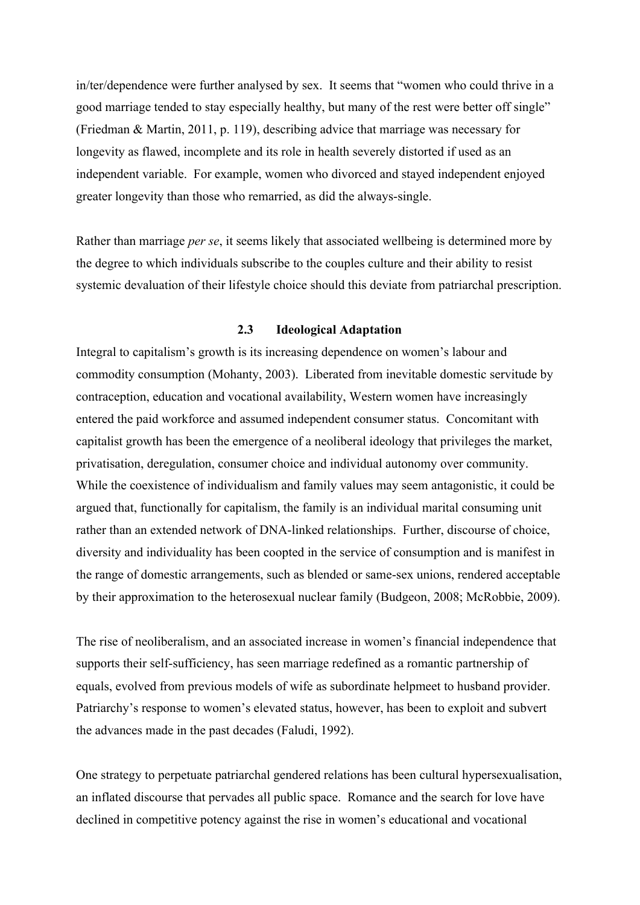in/ter/dependence were further analysed by sex. It seems that "women who could thrive in a good marriage tended to stay especially healthy, but many of the rest were better off single" (Friedman & Martin, 2011, p. 119), describing advice that marriage was necessary for longevity as flawed, incomplete and its role in health severely distorted if used as an independent variable. For example, women who divorced and stayed independent enjoyed greater longevity than those who remarried, as did the always-single.

Rather than marriage *per se*, it seems likely that associated wellbeing is determined more by the degree to which individuals subscribe to the couples culture and their ability to resist systemic devaluation of their lifestyle choice should this deviate from patriarchal prescription.

# **2.3 Ideological Adaptation**

Integral to capitalism's growth is its increasing dependence on women's labour and commodity consumption (Mohanty, 2003). Liberated from inevitable domestic servitude by contraception, education and vocational availability, Western women have increasingly entered the paid workforce and assumed independent consumer status. Concomitant with capitalist growth has been the emergence of a neoliberal ideology that privileges the market, privatisation, deregulation, consumer choice and individual autonomy over community. While the coexistence of individualism and family values may seem antagonistic, it could be argued that, functionally for capitalism, the family is an individual marital consuming unit rather than an extended network of DNA-linked relationships. Further, discourse of choice, diversity and individuality has been coopted in the service of consumption and is manifest in the range of domestic arrangements, such as blended or same-sex unions, rendered acceptable by their approximation to the heterosexual nuclear family (Budgeon, 2008; McRobbie, 2009).

The rise of neoliberalism, and an associated increase in women's financial independence that supports their self-sufficiency, has seen marriage redefined as a romantic partnership of equals, evolved from previous models of wife as subordinate helpmeet to husband provider. Patriarchy's response to women's elevated status, however, has been to exploit and subvert the advances made in the past decades (Faludi, 1992).

One strategy to perpetuate patriarchal gendered relations has been cultural hypersexualisation, an inflated discourse that pervades all public space. Romance and the search for love have declined in competitive potency against the rise in women's educational and vocational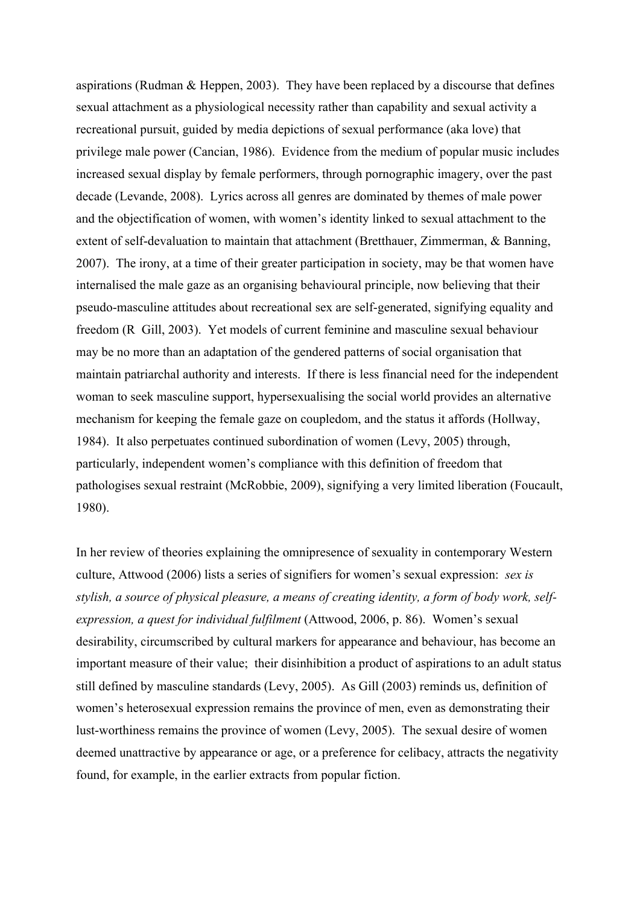aspirations (Rudman & Heppen, 2003). They have been replaced by a discourse that defines sexual attachment as a physiological necessity rather than capability and sexual activity a recreational pursuit, guided by media depictions of sexual performance (aka love) that privilege male power (Cancian, 1986). Evidence from the medium of popular music includes increased sexual display by female performers, through pornographic imagery, over the past decade (Levande, 2008). Lyrics across all genres are dominated by themes of male power and the objectification of women, with women's identity linked to sexual attachment to the extent of self-devaluation to maintain that attachment (Bretthauer, Zimmerman, & Banning, 2007). The irony, at a time of their greater participation in society, may be that women have internalised the male gaze as an organising behavioural principle, now believing that their pseudo-masculine attitudes about recreational sex are self-generated, signifying equality and freedom (R Gill, 2003). Yet models of current feminine and masculine sexual behaviour may be no more than an adaptation of the gendered patterns of social organisation that maintain patriarchal authority and interests. If there is less financial need for the independent woman to seek masculine support, hypersexualising the social world provides an alternative mechanism for keeping the female gaze on coupledom, and the status it affords (Hollway, 1984). It also perpetuates continued subordination of women (Levy, 2005) through, particularly, independent women's compliance with this definition of freedom that pathologises sexual restraint (McRobbie, 2009), signifying a very limited liberation (Foucault, 1980).

In her review of theories explaining the omnipresence of sexuality in contemporary Western culture, Attwood (2006) lists a series of signifiers for women's sexual expression: *sex is stylish, a source of physical pleasure, a means of creating identity, a form of body work, selfexpression, a quest for individual fulfilment* (Attwood, 2006, p. 86). Women's sexual desirability, circumscribed by cultural markers for appearance and behaviour, has become an important measure of their value; their disinhibition a product of aspirations to an adult status still defined by masculine standards (Levy, 2005). As Gill (2003) reminds us, definition of women's heterosexual expression remains the province of men, even as demonstrating their lust-worthiness remains the province of women (Levy, 2005). The sexual desire of women deemed unattractive by appearance or age, or a preference for celibacy, attracts the negativity found, for example, in the earlier extracts from popular fiction.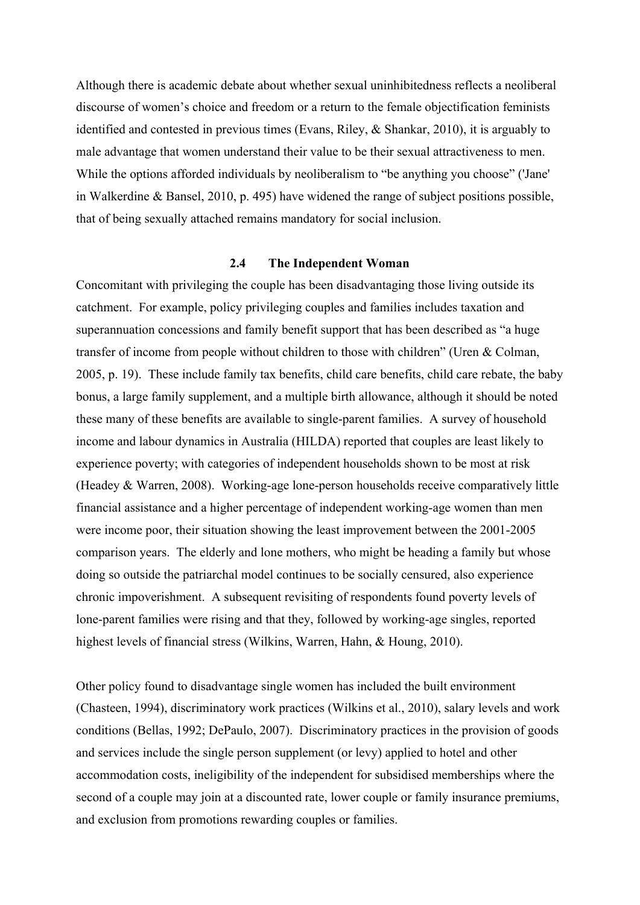Although there is academic debate about whether sexual uninhibitedness reflects a neoliberal discourse of women's choice and freedom or a return to the female objectification feminists identified and contested in previous times (Evans, Riley, & Shankar, 2010), it is arguably to male advantage that women understand their value to be their sexual attractiveness to men. While the options afforded individuals by neoliberalism to "be anything you choose" ('Jane' in Walkerdine & Bansel, 2010, p. 495) have widened the range of subject positions possible, that of being sexually attached remains mandatory for social inclusion.

#### **2.4 The Independent Woman**

Concomitant with privileging the couple has been disadvantaging those living outside its catchment. For example, policy privileging couples and families includes taxation and superannuation concessions and family benefit support that has been described as "a huge transfer of income from people without children to those with children" (Uren & Colman, 2005, p. 19). These include family tax benefits, child care benefits, child care rebate, the baby bonus, a large family supplement, and a multiple birth allowance, although it should be noted these many of these benefits are available to single-parent families. A survey of household income and labour dynamics in Australia (HILDA) reported that couples are least likely to experience poverty; with categories of independent households shown to be most at risk (Headey & Warren, 2008). Working-age lone-person households receive comparatively little financial assistance and a higher percentage of independent working-age women than men were income poor, their situation showing the least improvement between the 2001-2005 comparison years. The elderly and lone mothers, who might be heading a family but whose doing so outside the patriarchal model continues to be socially censured, also experience chronic impoverishment. A subsequent revisiting of respondents found poverty levels of lone-parent families were rising and that they, followed by working-age singles, reported highest levels of financial stress (Wilkins, Warren, Hahn, & Houng, 2010).

Other policy found to disadvantage single women has included the built environment (Chasteen, 1994), discriminatory work practices (Wilkins et al., 2010), salary levels and work conditions (Bellas, 1992; DePaulo, 2007). Discriminatory practices in the provision of goods and services include the single person supplement (or levy) applied to hotel and other accommodation costs, ineligibility of the independent for subsidised memberships where the second of a couple may join at a discounted rate, lower couple or family insurance premiums, and exclusion from promotions rewarding couples or families.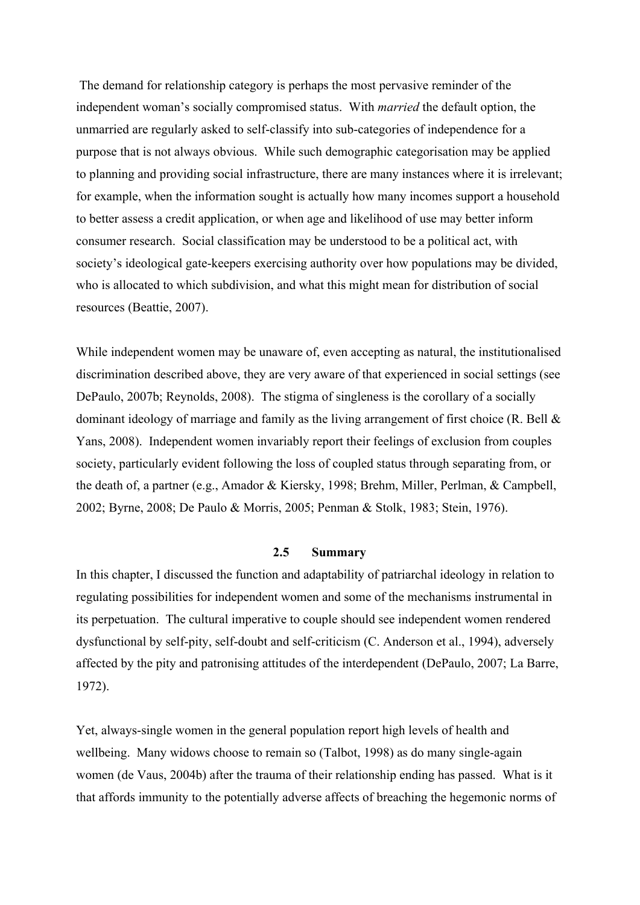The demand for relationship category is perhaps the most pervasive reminder of the independent woman's socially compromised status. With *married* the default option, the unmarried are regularly asked to self-classify into sub-categories of independence for a purpose that is not always obvious. While such demographic categorisation may be applied to planning and providing social infrastructure, there are many instances where it is irrelevant; for example, when the information sought is actually how many incomes support a household to better assess a credit application, or when age and likelihood of use may better inform consumer research. Social classification may be understood to be a political act, with society's ideological gate-keepers exercising authority over how populations may be divided, who is allocated to which subdivision, and what this might mean for distribution of social resources (Beattie, 2007).

While independent women may be unaware of, even accepting as natural, the institutionalised discrimination described above, they are very aware of that experienced in social settings (see DePaulo, 2007b; Reynolds, 2008). The stigma of singleness is the corollary of a socially dominant ideology of marriage and family as the living arrangement of first choice (R. Bell  $\&$ Yans, 2008). Independent women invariably report their feelings of exclusion from couples society, particularly evident following the loss of coupled status through separating from, or the death of, a partner (e.g., Amador & Kiersky, 1998; Brehm, Miller, Perlman, & Campbell, 2002; Byrne, 2008; De Paulo & Morris, 2005; Penman & Stolk, 1983; Stein, 1976).

### **2.5 Summary**

In this chapter, I discussed the function and adaptability of patriarchal ideology in relation to regulating possibilities for independent women and some of the mechanisms instrumental in its perpetuation. The cultural imperative to couple should see independent women rendered dysfunctional by self-pity, self-doubt and self-criticism (C. Anderson et al., 1994), adversely affected by the pity and patronising attitudes of the interdependent (DePaulo, 2007; La Barre, 1972).

Yet, always-single women in the general population report high levels of health and wellbeing. Many widows choose to remain so (Talbot, 1998) as do many single-again women (de Vaus, 2004b) after the trauma of their relationship ending has passed. What is it that affords immunity to the potentially adverse affects of breaching the hegemonic norms of